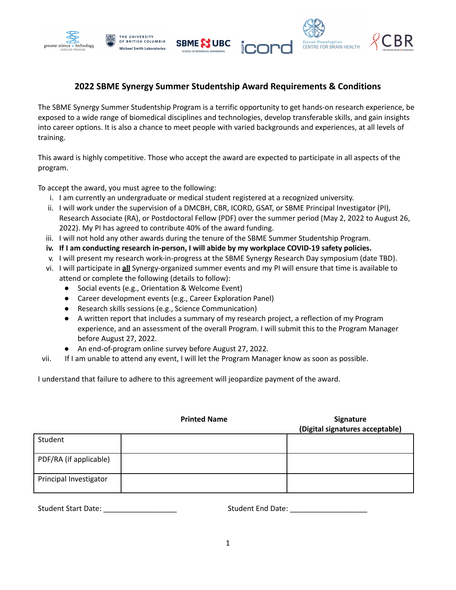

## **2022 SBME Synergy Summer Studentship Award Requirements & Conditions**

The SBME Synergy Summer Studentship Program is a terrific opportunity to get hands-on research experience, be exposed to a wide range of biomedical disciplines and technologies, develop transferable skills, and gain insights into career options. It is also a chance to meet people with varied backgrounds and experiences, at all levels of training.

This award is highly competitive. Those who accept the award are expected to participate in all aspects of the program.

To accept the award, you must agree to the following:

- i. I am currently an undergraduate or medical student registered at a recognized university.
- ii. I will work under the supervision of a DMCBH, CBR, ICORD, GSAT, or SBME Principal Investigator (PI), Research Associate (RA), or Postdoctoral Fellow (PDF) over the summer period (May 2, 2022 to August 26, 2022). My PI has agreed to contribute 40% of the award funding.
- iii. I will not hold any other awards during the tenure of the SBME Summer Studentship Program.
- **iv. If I am conducting research in-person, I will abide by my workplace COVID-19 safety policies.**
- v. I will present my research work-in-progress at the SBME Synergy Research Day symposium (date TBD).
- vi. I will participate in **all** Synergy-organized summer events and my PI will ensure that time is available to attend or complete the following (details to follow):
	- Social events (e.g., Orientation & Welcome Event)
	- Career development events (e.g., Career Exploration Panel)
	- Research skills sessions (e.g., Science Communication)
	- A written report that includes a summary of my research project, a reflection of my Program experience, and an assessment of the overall Program. I will submit this to the Program Manager before August 27, 2022.
	- An end-of-program online survey before August 27, 2022.
- vii. If I am unable to attend any event, I will let the Program Manager know as soon as possible.

I understand that failure to adhere to this agreement will jeopardize payment of the award.

|                        | <b>Printed Name</b> | Signature<br>(Digital signatures acceptable) |
|------------------------|---------------------|----------------------------------------------|
| Student                |                     |                                              |
| PDF/RA (if applicable) |                     |                                              |
| Principal Investigator |                     |                                              |

Student Start Date: \_\_\_\_\_\_\_\_\_\_\_\_\_\_\_\_\_\_ Student End Date: \_\_\_\_\_\_\_\_\_\_\_\_\_\_\_\_\_\_\_